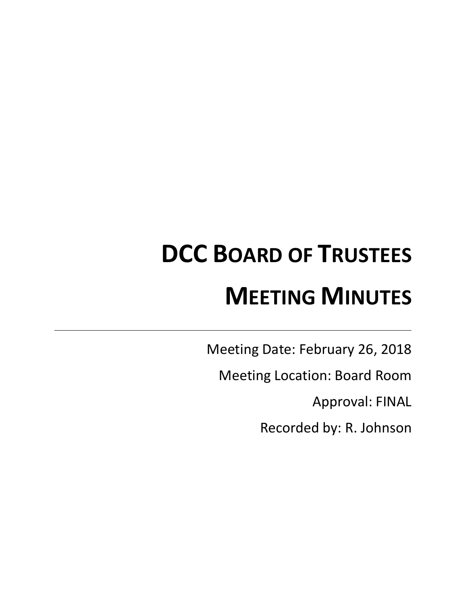# **DCC BOARD OF TRUSTEES MEETING MINUTES**

Meeting Date: February 26, 2018

Meeting Location: Board Room

Approval: FINAL

Recorded by: R. Johnson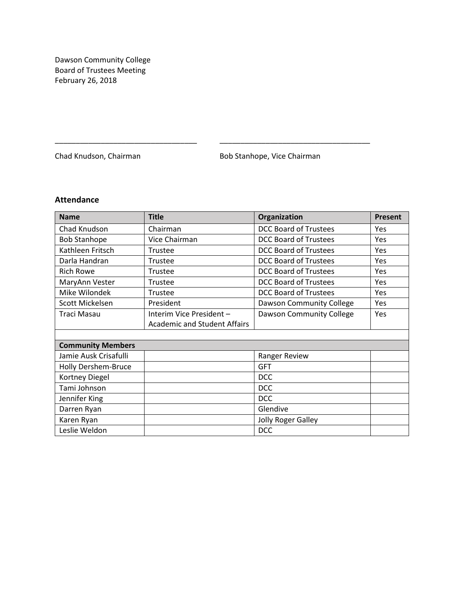Dawson Community College Board of Trustees Meeting February 26, 2018

Chad Knudson, Chairman **Bob Stanhope**, Vice Chairman

# **Attendance**

| <b>Name</b>              | <b>Title</b>                        | Organization                 | <b>Present</b> |
|--------------------------|-------------------------------------|------------------------------|----------------|
| Chad Knudson             | Chairman                            | <b>DCC Board of Trustees</b> | Yes            |
| <b>Bob Stanhope</b>      | Vice Chairman                       | <b>DCC Board of Trustees</b> | Yes            |
| Kathleen Fritsch         | Trustee                             | <b>DCC Board of Trustees</b> | Yes            |
| Darla Handran            | Trustee                             | <b>DCC Board of Trustees</b> | Yes            |
| <b>Rich Rowe</b>         | Trustee                             | <b>DCC Board of Trustees</b> | <b>Yes</b>     |
| MaryAnn Vester           | Trustee                             | <b>DCC Board of Trustees</b> | Yes            |
| Mike Wilondek            | Trustee                             | <b>DCC Board of Trustees</b> | <b>Yes</b>     |
| Scott Mickelsen          | President                           | Dawson Community College     | Yes            |
| Traci Masau              | Interim Vice President -            | Dawson Community College     | Yes            |
|                          | <b>Academic and Student Affairs</b> |                              |                |
|                          |                                     |                              |                |
| <b>Community Members</b> |                                     |                              |                |
| Jamie Ausk Crisafulli    |                                     | Ranger Review                |                |
| Holly Dershem-Bruce      |                                     | <b>GFT</b>                   |                |
| Kortney Diegel           |                                     | <b>DCC</b>                   |                |
| Tami Johnson             |                                     | <b>DCC</b>                   |                |
| Jennifer King            |                                     | <b>DCC</b>                   |                |
| Darren Ryan              |                                     | Glendive                     |                |
| Karen Ryan               |                                     | Jolly Roger Galley           |                |
| Leslie Weldon            |                                     | <b>DCC</b>                   |                |

\_\_\_\_\_\_\_\_\_\_\_\_\_\_\_\_\_\_\_\_\_\_\_\_\_\_\_\_\_\_\_\_\_\_ \_\_\_\_\_\_\_\_\_\_\_\_\_\_\_\_\_\_\_\_\_\_\_\_\_\_\_\_\_\_\_\_\_\_\_\_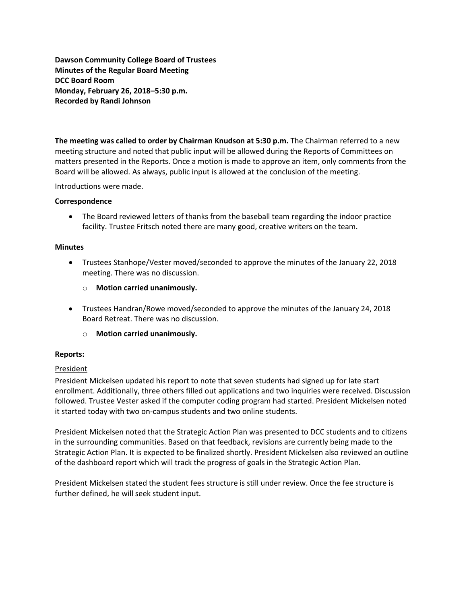**Dawson Community College Board of Trustees Minutes of the Regular Board Meeting DCC Board Room Monday, February 26, 2018–5:30 p.m. Recorded by Randi Johnson**

**The meeting was called to order by Chairman Knudson at 5:30 p.m.** The Chairman referred to a new meeting structure and noted that public input will be allowed during the Reports of Committees on matters presented in the Reports. Once a motion is made to approve an item, only comments from the Board will be allowed. As always, public input is allowed at the conclusion of the meeting.

Introductions were made.

## **Correspondence**

• The Board reviewed letters of thanks from the baseball team regarding the indoor practice facility. Trustee Fritsch noted there are many good, creative writers on the team.

## **Minutes**

- Trustees Stanhope/Vester moved/seconded to approve the minutes of the January 22, 2018 meeting. There was no discussion.
	- o **Motion carried unanimously.**
- Trustees Handran/Rowe moved/seconded to approve the minutes of the January 24, 2018 Board Retreat. There was no discussion.
	- o **Motion carried unanimously.**

### **Reports:**

# **President**

President Mickelsen updated his report to note that seven students had signed up for late start enrollment. Additionally, three others filled out applications and two inquiries were received. Discussion followed. Trustee Vester asked if the computer coding program had started. President Mickelsen noted it started today with two on-campus students and two online students.

President Mickelsen noted that the Strategic Action Plan was presented to DCC students and to citizens in the surrounding communities. Based on that feedback, revisions are currently being made to the Strategic Action Plan. It is expected to be finalized shortly. President Mickelsen also reviewed an outline of the dashboard report which will track the progress of goals in the Strategic Action Plan.

President Mickelsen stated the student fees structure is still under review. Once the fee structure is further defined, he will seek student input.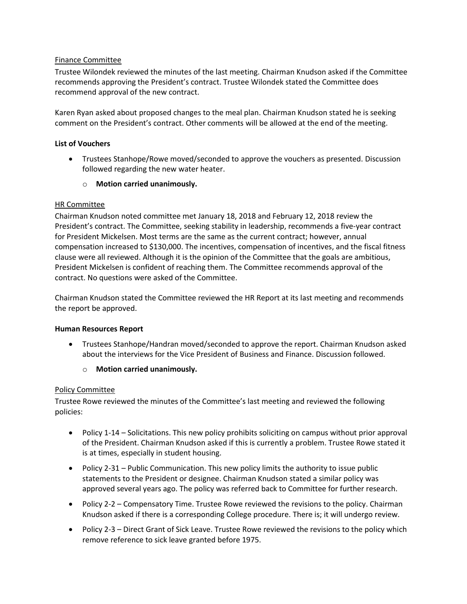# Finance Committee

Trustee Wilondek reviewed the minutes of the last meeting. Chairman Knudson asked if the Committee recommends approving the President's contract. Trustee Wilondek stated the Committee does recommend approval of the new contract.

Karen Ryan asked about proposed changes to the meal plan. Chairman Knudson stated he is seeking comment on the President's contract. Other comments will be allowed at the end of the meeting.

# **List of Vouchers**

- Trustees Stanhope/Rowe moved/seconded to approve the vouchers as presented. Discussion followed regarding the new water heater.
	- o **Motion carried unanimously.**

# HR Committee

Chairman Knudson noted committee met January 18, 2018 and February 12, 2018 review the President's contract. The Committee, seeking stability in leadership, recommends a five-year contract for President Mickelsen. Most terms are the same as the current contract; however, annual compensation increased to \$130,000. The incentives, compensation of incentives, and the fiscal fitness clause were all reviewed. Although it is the opinion of the Committee that the goals are ambitious, President Mickelsen is confident of reaching them. The Committee recommends approval of the contract. No questions were asked of the Committee.

Chairman Knudson stated the Committee reviewed the HR Report at its last meeting and recommends the report be approved.

# **Human Resources Report**

- Trustees Stanhope/Handran moved/seconded to approve the report. Chairman Knudson asked about the interviews for the Vice President of Business and Finance. Discussion followed.
	- o **Motion carried unanimously.**

# Policy Committee

Trustee Rowe reviewed the minutes of the Committee's last meeting and reviewed the following policies:

- Policy 1-14 Solicitations. This new policy prohibits soliciting on campus without prior approval of the President. Chairman Knudson asked if this is currently a problem. Trustee Rowe stated it is at times, especially in student housing.
- Policy 2-31 Public Communication. This new policy limits the authority to issue public statements to the President or designee. Chairman Knudson stated a similar policy was approved several years ago. The policy was referred back to Committee for further research.
- Policy 2-2 Compensatory Time. Trustee Rowe reviewed the revisions to the policy. Chairman Knudson asked if there is a corresponding College procedure. There is; it will undergo review.
- Policy 2-3 Direct Grant of Sick Leave. Trustee Rowe reviewed the revisions to the policy which remove reference to sick leave granted before 1975.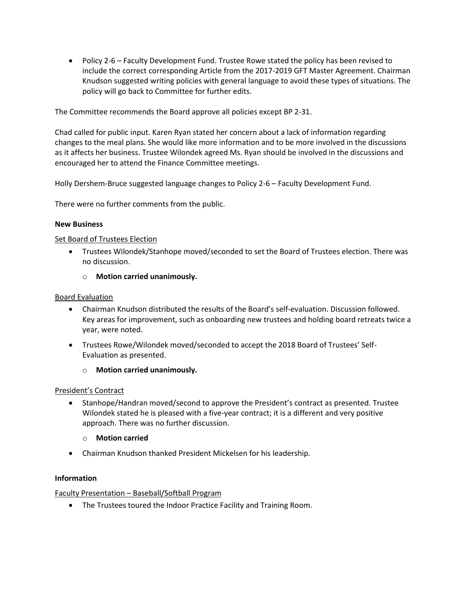Policy 2-6 – Faculty Development Fund. Trustee Rowe stated the policy has been revised to include the correct corresponding Article from the 2017-2019 GFT Master Agreement. Chairman Knudson suggested writing policies with general language to avoid these types of situations. The policy will go back to Committee for further edits.

The Committee recommends the Board approve all policies except BP 2-31.

Chad called for public input. Karen Ryan stated her concern about a lack of information regarding changes to the meal plans. She would like more information and to be more involved in the discussions as it affects her business. Trustee Wilondek agreed Ms. Ryan should be involved in the discussions and encouraged her to attend the Finance Committee meetings.

Holly Dershem-Bruce suggested language changes to Policy 2-6 – Faculty Development Fund.

There were no further comments from the public.

# **New Business**

## Set Board of Trustees Election

- Trustees Wilondek/Stanhope moved/seconded to set the Board of Trustees election. There was no discussion.
	- o **Motion carried unanimously.**

## Board Evaluation

- Chairman Knudson distributed the results of the Board's self-evaluation. Discussion followed. Key areas for improvement, such as onboarding new trustees and holding board retreats twice a year, were noted.
- Trustees Rowe/Wilondek moved/seconded to accept the 2018 Board of Trustees' Self-Evaluation as presented.
	- o **Motion carried unanimously.**

### President's Contract

- Stanhope/Handran moved/second to approve the President's contract as presented. Trustee Wilondek stated he is pleased with a five-year contract; it is a different and very positive approach. There was no further discussion.
	- o **Motion carried**
- Chairman Knudson thanked President Mickelsen for his leadership.

### **Information**

# Faculty Presentation – Baseball/Softball Program

The Trustees toured the Indoor Practice Facility and Training Room.